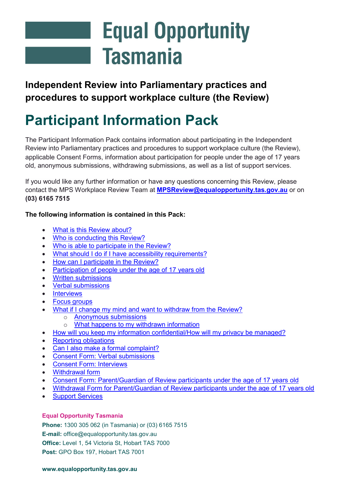# **Equal Opportunity Tasmania**

### **Independent Review into Parliamentary practices and procedures to support workplace culture (the Review)**

## **Participant Information Pack**

The Participant Information Pack contains information about participating in the Independent Review into Parliamentary practices and procedures to support workplace culture (the Review), applicable Consent Forms, information about participation for people under the age of 17 years old, anonymous submissions, withdrawing submissions, as well as a list of support services.

If you would like any further information or have any questions concerning this Review, please contact the MPS Workplace Review Team at **[MPSReview@equalopportunity.tas.gov.au](mailto:MPSReview@equalopportunity.tas.gov.au)** or on **(03) 6165 7515**

#### **The following information is contained in this Pack:**

- [What is this Review about?](#page-1-0)
- [Who is conducting this Review?](#page-1-1)
- [Who is able to participate in the Review?](#page-1-2)
- [What should I do if I have accessibility requirements?](#page-2-0)
- [How can I participate in the Review?](#page-2-1)
- [Participation of people under the age of 17](#page-3-0) years old
- [Written submissions](#page-3-1)
- [Verbal submissions](#page-4-0)
- **[Interviews](#page-5-0)**
- [Focus groups](#page-6-0)
- [What if I change my mind and want to withdraw from the Review?](#page-6-1)
	- **[Anonymous submissions](#page-6-2)**<br>○ What happens to my with
	- [What happens to my withdrawn information](#page-6-3)
- [How will you keep my information confidential/How will my privacy be managed?](#page-7-0)
- [Reporting obligations](#page-7-1)
- [Can I also make a formal complaint?](#page-8-0)
- [Consent Form: Verbal submissions](#page-9-0)
- [Consent Form: Interviews](#page-10-0)
- [Withdrawal form](#page-11-0)
- Consent Form: Parent/Guardian of [Review participants under the age of 17](#page-12-0) years old
- [Withdrawal Form for Parent/Guardian of Review participants under the age of 17](#page-14-0) years old
- **[Support Services](#page-15-0)**

#### **Equal Opportunity Tasmania**

**Phone:** 1300 305 062 (in Tasmania) or (03) 6165 7515 **E-mail:** office@equalopportunity.tas.gov.au **Office:** Level 1, 54 Victoria St, Hobart TAS 7000 **Post:** GPO Box 197, Hobart TAS 7001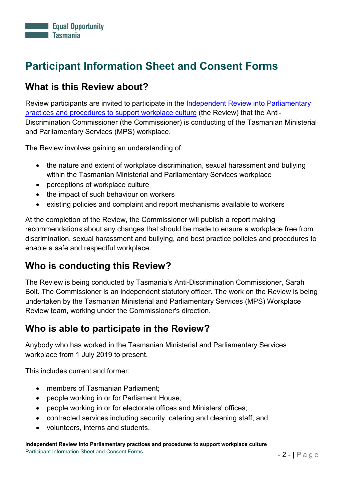### **Participant Information Sheet and Consent Forms**

### <span id="page-1-0"></span>**What is this Review about?**

Review participants are invited to participate in the [Independent Review into Parliamentary](https://equalopportunity.tas.gov.au/news_and_events/review-into-ministerial-and-parliamentary-practices-and-procedures2/)  [practices and procedures to support workplace culture](https://equalopportunity.tas.gov.au/news_and_events/review-into-ministerial-and-parliamentary-practices-and-procedures2/) (the Review) that the Anti-Discrimination Commissioner (the Commissioner) is conducting of the Tasmanian Ministerial and Parliamentary Services (MPS) workplace.

The Review involves gaining an understanding of:

- the nature and extent of workplace discrimination, sexual harassment and bullying within the Tasmanian Ministerial and Parliamentary Services workplace
- perceptions of workplace culture
- the impact of such behaviour on workers
- existing policies and complaint and report mechanisms available to workers

At the completion of the Review, the Commissioner will publish a report making recommendations about any changes that should be made to ensure a workplace free from discrimination, sexual harassment and bullying, and best practice policies and procedures to enable a safe and respectful workplace.

### <span id="page-1-1"></span>**Who is conducting this Review?**

The Review is being conducted by Tasmania's Anti-Discrimination Commissioner, Sarah Bolt. The Commissioner is an independent statutory officer. The work on the Review is being undertaken by the Tasmanian Ministerial and Parliamentary Services (MPS) Workplace Review team, working under the Commissioner's direction.

### <span id="page-1-2"></span>**Who is able to participate in the Review?**

Anybody who has worked in the Tasmanian Ministerial and Parliamentary Services workplace from 1 July 2019 to present.

This includes current and former:

- members of Tasmanian Parliament;
- people working in or for Parliament House;
- people working in or for electorate offices and Ministers' offices;
- contracted services including security, catering and cleaning staff; and
- volunteers, interns and students.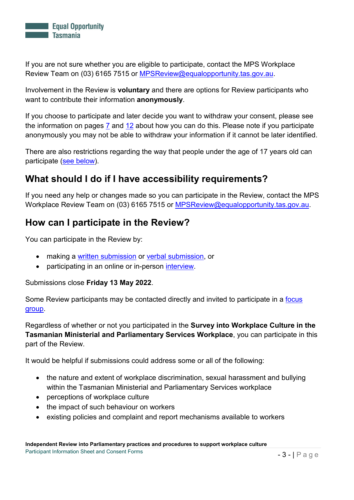

If you are not sure whether you are eligible to participate, contact the MPS Workplace Review Team on (03) 6165 7515 or [MPSReview@equalopportunity.tas.gov.au.](mailto:MPSReview@equalopportunity.tas.gov.au)

Involvement in the Review is **voluntary** and there are options for Review participants who want to contribute their information **anonymously**.

If you choose to participate and later decide you want to withdraw your consent, please see the information on pages  $\frac{7}{2}$  and  $\frac{12}{2}$  $\frac{12}{2}$  $\frac{12}{2}$  about how you can do this. Please note if you participate anonymously you may not be able to withdraw your information if it cannot be later identified.

There are also restrictions regarding the way that people under the age of 17 years old can participate [\(see below\)](#page-3-0).

### <span id="page-2-0"></span>**What should I do if I have accessibility requirements?**

If you need any help or changes made so you can participate in the Review, contact the MPS Workplace Review Team on (03) 6165 7515 or [MPSReview@equalopportunity.tas.gov.au.](mailto:MPSReview@equalopportunity.tas.gov.au)

### <span id="page-2-1"></span>**How can I participate in the Review?**

You can participate in the Review by:

- making a [written submission](#page-3-1) or [verbal submission,](#page-4-0) or
- participating in an online or in-person *interview*.

Submissions close **Friday 13 May 2022**.

Some Review participants may be contacted directly and invited to participate in a focus [group.](#page-6-0)

Regardless of whether or not you participated in the **Survey into Workplace Culture in the Tasmanian Ministerial and Parliamentary Services Workplace**, you can participate in this part of the Review.

It would be helpful if submissions could address some or all of the following:

- the nature and extent of workplace discrimination, sexual harassment and bullying within the Tasmanian Ministerial and Parliamentary Services workplace
- perceptions of workplace culture
- the impact of such behaviour on workers
- existing policies and complaint and report mechanisms available to workers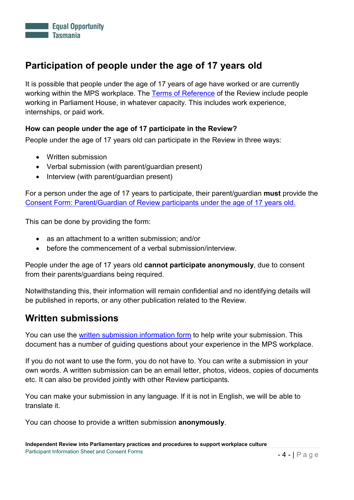

### **Participation of people under the age of 17 years old**

It is possible that people under the age of 17 years of age have worked or are currently working within the MPS workplace. The [Terms of Reference](https://equalopportunity.tas.gov.au/news_and_events/review-into-ministerial-and-parliamentary-practices-and-procedures2/mps-review-terms-of-reference) of the Review include people working in Parliament House, in whatever capacity. This includes work experience, internships, or paid work.

#### <span id="page-3-0"></span>**How can people under the age of 17 participate in the Review?**

People under the age of 17 years old can participate in the Review in three ways:

- Written submission
- Verbal submission (with parent/guardian present)
- Interview (with parent/guardian present)

For a person under the age of 17 years to participate, their parent/guardian **must** provide the Consent Form: Parent/Guardian of [Review participants under the age of 17](#page-12-0) years old.

This can be done by providing the form:

- as an attachment to a written submission; and/or
- before the commencement of a verbal submission/interview.

People under the age of 17 years old **cannot participate anonymously**, due to consent from their parents/guardians being required.

Notwithstanding this, their information will remain confidential and no identifying details will be published in reports, or any other publication related to the Review.

#### <span id="page-3-1"></span>**Written submissions**

You can use the [written submission information form](https://equalopportunity.tas.gov.au/news_and_events/review-into-ministerial-and-parliamentary-practices-and-procedures2/faq-6) to help write your submission. This document has a number of guiding questions about your experience in the MPS workplace.

If you do not want to use the form, you do not have to. You can write a submission in your own words. A written submission can be an email letter, photos, videos, copies of documents etc. It can also be provided jointly with other Review participants.

You can make your submission in any language. If it is not in English, we will be able to translate it.

You can choose to provide a written submission **anonymously**.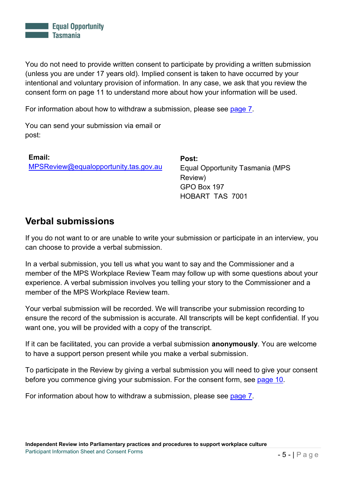

You do not need to provide written consent to participate by providing a written submission (unless you are under 17 years old). Implied consent is taken to have occurred by your intentional and voluntary provision of information. In any case, we ask that you review the consent form on page 11 to understand more about how your information will be used.

For information about how to withdraw a submission, please see [page 7.](#page-6-1)

You can send your submission via email or post:

**Email:**  [MPSReview@equalopportunity.tas.gov.au](mailto:MPSReview@equalopportunity.tas.gov.au)

**Post:** Equal Opportunity Tasmania (MPS Review) GPO Box 197 HOBART TAS 7001

#### <span id="page-4-0"></span>**Verbal submissions**

If you do not want to or are unable to write your submission or participate in an interview, you can choose to provide a verbal submission.

In a verbal submission, you tell us what you want to say and the Commissioner and a member of the MPS Workplace Review Team may follow up with some questions about your experience. A verbal submission involves you telling your story to the Commissioner and a member of the MPS Workplace Review team.

Your verbal submission will be recorded. We will transcribe your submission recording to ensure the record of the submission is accurate. All transcripts will be kept confidential. If you want one, you will be provided with a copy of the transcript.

If it can be facilitated, you can provide a verbal submission **anonymously**. You are welcome to have a support person present while you make a verbal submission.

To participate in the Review by giving a verbal submission you will need to give your consent before you commence giving your submission. For the consent form, see [page 10.](#page-9-0)

For information about how to withdraw a submission, please see [page 7.](#page-6-1)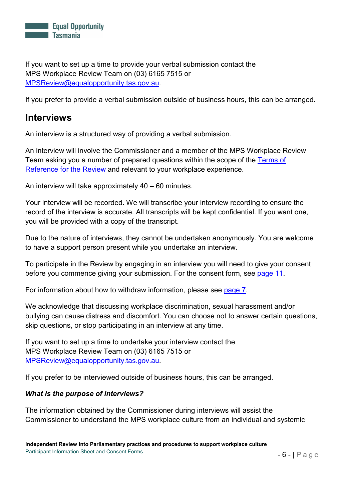

If you want to set up a time to provide your verbal submission contact the MPS Workplace Review Team on (03) 6165 7515 or [MPSReview@equalopportunity.tas.gov.au.](mailto:MPSReview@equalopportunity.tas.gov.au)

If you prefer to provide a verbal submission outside of business hours, this can be arranged.

#### <span id="page-5-0"></span>**Interviews**

An interview is a structured way of providing a verbal submission.

An interview will involve the Commissioner and a member of the MPS Workplace Review Team asking you a number of prepared questions within the scope of the [Terms of](https://equalopportunity.tas.gov.au/news_and_events/review-into-ministerial-and-parliamentary-practices-and-procedures2/mps-review-terms-of-reference)  [Reference for the Review](https://equalopportunity.tas.gov.au/news_and_events/review-into-ministerial-and-parliamentary-practices-and-procedures2/mps-review-terms-of-reference) and relevant to your workplace experience.

An interview will take approximately 40 – 60 minutes.

Your interview will be recorded. We will transcribe your interview recording to ensure the record of the interview is accurate. All transcripts will be kept confidential. If you want one, you will be provided with a copy of the transcript.

Due to the nature of interviews, they cannot be undertaken anonymously. You are welcome to have a support person present while you undertake an interview.

To participate in the Review by engaging in an interview you will need to give your consent before you commence giving your submission. For the consent form, see [page 11.](#page-10-0)

For information about how to withdraw information, please see [page 7.](#page-6-1)

We acknowledge that discussing workplace discrimination, sexual harassment and/or bullying can cause distress and discomfort. You can choose not to answer certain questions, skip questions, or stop participating in an interview at any time.

If you want to set up a time to undertake your interview contact the MPS Workplace Review Team on (03) 6165 7515 or [MPSReview@equalopportunity.tas.gov.au.](mailto:MPSReview@equalopportunity.tas.gov.au)

If you prefer to be interviewed outside of business hours, this can be arranged.

#### *What is the purpose of interviews?*

The information obtained by the Commissioner during interviews will assist the Commissioner to understand the MPS workplace culture from an individual and systemic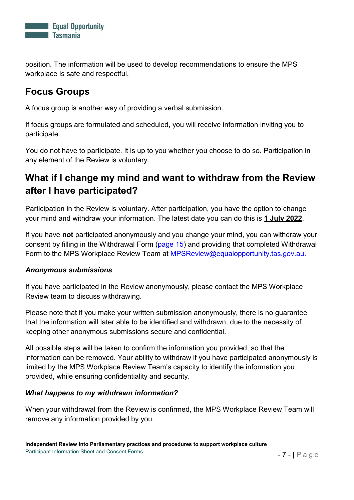

position. The information will be used to develop recommendations to ensure the MPS workplace is safe and respectful.

### <span id="page-6-0"></span>**Focus Groups**

A focus group is another way of providing a verbal submission.

If focus groups are formulated and scheduled, you will receive information inviting you to participate.

You do not have to participate. It is up to you whether you choose to do so. Participation in any element of the Review is voluntary.

### <span id="page-6-1"></span>**What if I change my mind and want to withdraw from the Review after I have participated?**

Participation in the Review is voluntary. After participation, you have the option to change your mind and withdraw your information. The latest date you can do this is **1 July 2022**.

If you have **not** participated anonymously and you change your mind, you can withdraw your consent by filling in the Withdrawal Form [\(page 15\)](#page-11-0) and providing that completed Withdrawal Form to the MPS Workplace Review Team at [MPSReview@equalopportunity.tas.gov.au.](mailto:MPSReview@equalopportunity.tas.gov.au)

#### <span id="page-6-2"></span>*Anonymous submissions*

If you have participated in the Review anonymously, please contact the MPS Workplace Review team to discuss withdrawing.

Please note that if you make your written submission anonymously, there is no guarantee that the information will later able to be identified and withdrawn, due to the necessity of keeping other anonymous submissions secure and confidential.

All possible steps will be taken to confirm the information you provided, so that the information can be removed. Your ability to withdraw if you have participated anonymously is limited by the MPS Workplace Review Team's capacity to identify the information you provided, while ensuring confidentiality and security.

#### <span id="page-6-3"></span>*What happens to my withdrawn information?*

When your withdrawal from the Review is confirmed, the MPS Workplace Review Team will remove any information provided by you.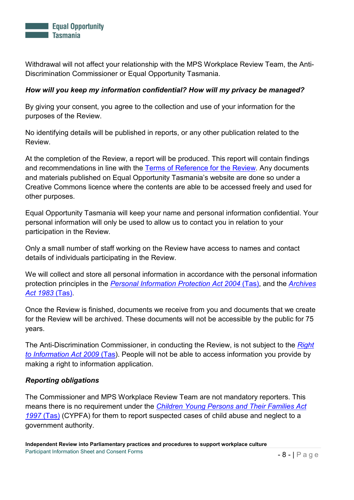

Withdrawal will not affect your relationship with the MPS Workplace Review Team, the Anti-Discrimination Commissioner or Equal Opportunity Tasmania.

#### <span id="page-7-0"></span>*How will you keep my information confidential? How will my privacy be managed?*

By giving your consent, you agree to the collection and use of your information for the purposes of the Review.

No identifying details will be published in reports, or any other publication related to the Review.

At the completion of the Review, a report will be produced. This report will contain findings and recommendations in line with the [Terms of Reference for the Review.](https://equalopportunity.tas.gov.au/news_and_events/review-into-ministerial-and-parliamentary-practices-and-procedures2/mps-review-terms-of-reference) Any documents and materials published on Equal Opportunity Tasmania's website are done so under a Creative Commons licence where the contents are able to be accessed freely and used for other purposes.

Equal Opportunity Tasmania will keep your name and personal information confidential. Your personal information will only be used to allow us to contact you in relation to your participation in the Review.

Only a small number of staff working on the Review have access to names and contact details of individuals participating in the Review.

We will collect and store all personal information in accordance with the personal information protection principles in the *[Personal Information Protection Act 2004](https://www.legislation.tas.gov.au/view/html/inforce/current/act-2004-046)* (Tas), and the *[Archives](https://www.legislation.tas.gov.au/view/html/inforce/current/act-1983-076#GS16A@EN)  [Act 1983](https://www.legislation.tas.gov.au/view/html/inforce/current/act-1983-076#GS16A@EN)* (Tas).

Once the Review is finished, documents we receive from you and documents that we create for the Review will be archived. These documents will not be accessible by the public for 75 years.

The Anti-Discrimination Commissioner, in conducting the Review, is not subject to the *[Right](https://www.legislation.tas.gov.au/view/html/inforce/current/act-2009-070#GS6@EN)  [to Information Act 2009](https://www.legislation.tas.gov.au/view/html/inforce/current/act-2009-070#GS6@EN)* (Tas). People will not be able to access information you provide by making a right to information application.

#### <span id="page-7-1"></span>*Reporting obligations*

The Commissioner and MPS Workplace Review Team are not mandatory reporters. This means there is no requirement under the *[Children Young Persons and Their Families Act](https://www.legislation.tas.gov.au/view/html/inforce/current/act-1997-028)  [1997](https://www.legislation.tas.gov.au/view/html/inforce/current/act-1997-028)* (Tas) (CYPFA) for them to report suspected cases of child abuse and neglect to a government authority.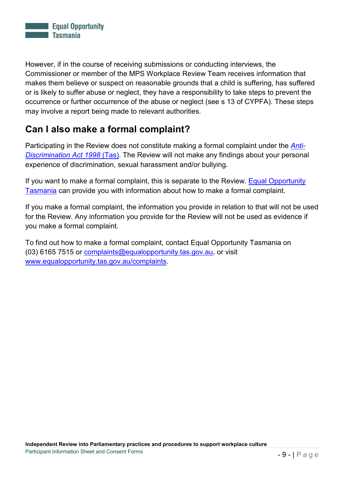

However, if in the course of receiving submissions or conducting interviews, the Commissioner or member of the MPS Workplace Review Team receives information that makes them believe or suspect on reasonable grounds that a child is suffering, has suffered or is likely to suffer abuse or neglect, they have a responsibility to take steps to prevent the occurrence or further occurrence of the abuse or neglect (see s 13 of CYPFA). These steps may involve a report being made to relevant authorities.

### <span id="page-8-0"></span>**Can I also make a formal complaint?**

Participating in the Review does not constitute making a formal complaint under the *[Anti-](https://www.legislation.tas.gov.au/view/html/inforce/current/act-1998-046)[Discrimination Act 1998](https://www.legislation.tas.gov.au/view/html/inforce/current/act-1998-046)* (Tas). The Review will not make any findings about your personal experience of discrimination, sexual harassment and/or bullying.

If you want to make a formal complaint, this is separate to the Review. [Equal Opportunity](https://equalopportunity.tas.gov.au/)  [Tasmania](https://equalopportunity.tas.gov.au/) can provide you with information about how to make a formal complaint.

If you make a formal complaint, the information you provide in relation to that will not be used for the Review. Any information you provide for the Review will not be used as evidence if you make a formal complaint.

To find out how to make a formal complaint, contact Equal Opportunity Tasmania on (03) 6165 7515 or [complaints@equalopportunity.tas.gov.au,](mailto:complaints@equalopportunity.tas.gov.au) or visit [www.equalopportunity.tas.gov.au/complaints.](http://www.equalopportunity.tas.gov.au/complaints)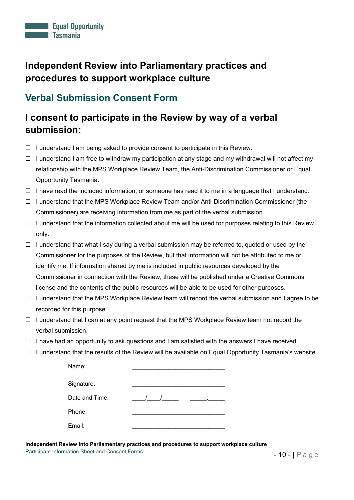

#### <span id="page-9-0"></span>**Verbal Submission Consent Form**

### **I consent to participate in the Review by way of a verbal submission:**

- $\Box$  I understand I am being asked to provide consent to participate in this Review.
- $\Box$  I understand I am free to withdraw my participation at any stage and my withdrawal will not affect my relationship with the MPS Workplace Review Team, the Anti-Discrimination Commissioner or Equal Opportunity Tasmania.
- $\Box$  I have read the included information, or someone has read it to me in a language that I understand.
- $\Box$  I understand that the MPS Workplace Review Team and/or Anti-Discrimination Commissioner (the Commissioner) are receiving information from me as part of the verbal submission.
- $\Box$  I understand that the information collected about me will be used for purposes relating to this Review only.
- $\Box$  I understand that what I say during a verbal submission may be referred to, quoted or used by the Commissioner for the purposes of the Review, but that information will not be attributed to me or identify me. If information shared by me is included in public resources developed by the Commissioner in connection with the Review, these will be published under a Creative Commons license and the contents of the public resources will be able to be used for other purposes.
- I understand that the MPS Workplace Review team will record the verbal submission and I agree to be recorded for this purpose.
- $\Box$  I understand that I can at any point request that the MPS Workplace Review team not record the verbal submission.
- $\Box$  I have had an opportunity to ask questions and I am satisfied with the answers I have received.
- $\Box$  I understand that the results of the Review will be available on Equal Opportunity Tasmania's website.

| Name:          |   |
|----------------|---|
| Signature:     |   |
| Date and Time: | ٠ |
| Phone:         |   |
| Email:         |   |

**Independent Review into Parliamentary practices and procedures to support workplace culture** Participant Information Sheet and Consent Forms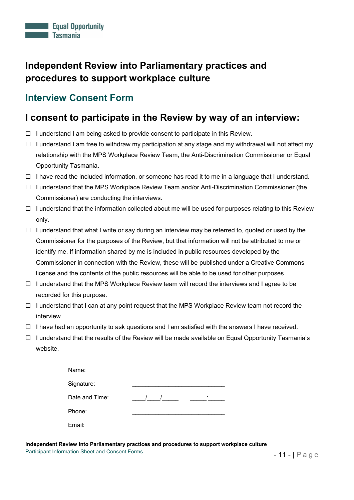#### <span id="page-10-0"></span>**Interview Consent Form**

#### **I consent to participate in the Review by way of an interview:**

- $\Box$  I understand I am being asked to provide consent to participate in this Review.
- $\Box$  I understand I am free to withdraw my participation at any stage and my withdrawal will not affect my relationship with the MPS Workplace Review Team, the Anti-Discrimination Commissioner or Equal Opportunity Tasmania.
- $\Box$  I have read the included information, or someone has read it to me in a language that I understand.
- $\Box$  I understand that the MPS Workplace Review Team and/or Anti-Discrimination Commissioner (the Commissioner) are conducting the interviews.
- $\Box$  I understand that the information collected about me will be used for purposes relating to this Review only.
- $\Box$  I understand that what I write or say during an interview may be referred to, quoted or used by the Commissioner for the purposes of the Review, but that information will not be attributed to me or identify me. If information shared by me is included in public resources developed by the Commissioner in connection with the Review, these will be published under a Creative Commons license and the contents of the public resources will be able to be used for other purposes.
- $\Box$  I understand that the MPS Workplace Review team will record the interviews and I agree to be recorded for this purpose.
- $\Box$  I understand that I can at any point request that the MPS Workplace Review team not record the interview.
- $\Box$  I have had an opportunity to ask questions and I am satisfied with the answers I have received.
- $\Box$  I understand that the results of the Review will be made available on Equal Opportunity Tasmania's website.

| Name:          |   |
|----------------|---|
| Signature:     |   |
| Date and Time: | ٠ |
| Phone:         |   |
| Email:         |   |

**Independent Review into Parliamentary practices and procedures to support workplace culture** Participant Information Sheet and Consent Forms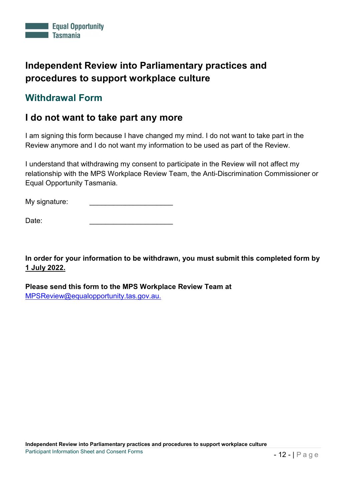

#### <span id="page-11-0"></span>**Withdrawal Form**

#### **I do not want to take part any more**

I am signing this form because I have changed my mind. I do not want to take part in the Review anymore and I do not want my information to be used as part of the Review.

I understand that withdrawing my consent to participate in the Review will not affect my relationship with the MPS Workplace Review Team, the Anti-Discrimination Commissioner or Equal Opportunity Tasmania.

My signature:

Date: \_\_\_\_\_\_\_\_\_\_\_\_\_\_\_\_\_\_\_\_\_\_\_\_\_\_

**In order for your information to be withdrawn, you must submit this completed form by 1 July 2022.**

**Please send this form to the MPS Workplace Review Team at**  [MPSReview@equalopportunity.tas.gov.au.](mailto:MPSReview@equalopportunity.tas.gov.au)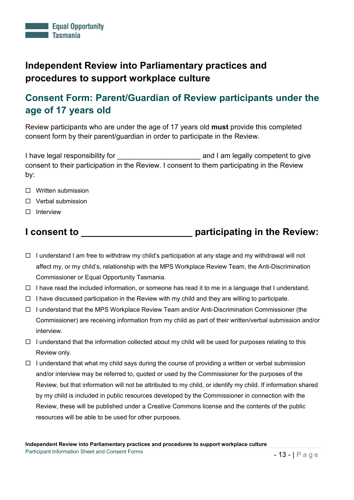### <span id="page-12-0"></span>**Consent Form: Parent/Guardian of Review participants under the age of 17 years old**

Review participants who are under the age of 17 years old **must** provide this completed consent form by their parent/guardian in order to participate in the Review.

I have legal responsibility for **Example 20** and I am legally competent to give consent to their participation in the Review. I consent to them participating in the Review by:

- □ Written submission
- □ Verbal submission
- $\Box$  Interview

#### **I consent to \_\_\_\_\_\_\_\_\_\_\_\_\_\_\_\_\_\_\_\_\_ participating in the Review:**

- $\Box$  I understand I am free to withdraw my child's participation at any stage and my withdrawal will not affect my, or my child's, relationship with the MPS Workplace Review Team, the Anti-Discrimination Commissioner or Equal Opportunity Tasmania.
- $\Box$  I have read the included information, or someone has read it to me in a language that I understand.
- $\Box$  I have discussed participation in the Review with my child and they are willing to participate.
- $\Box$  I understand that the MPS Workplace Review Team and/or Anti-Discrimination Commissioner (the Commissioner) are receiving information from my child as part of their written/verbal submission and/or interview.
- $\Box$  I understand that the information collected about my child will be used for purposes relating to this Review only.
- $\Box$  I understand that what my child says during the course of providing a written or verbal submission and/or interview may be referred to, quoted or used by the Commissioner for the purposes of the Review, but that information will not be attributed to my child, or identify my child. If information shared by my child is included in public resources developed by the Commissioner in connection with the Review, these will be published under a Creative Commons license and the contents of the public resources will be able to be used for other purposes.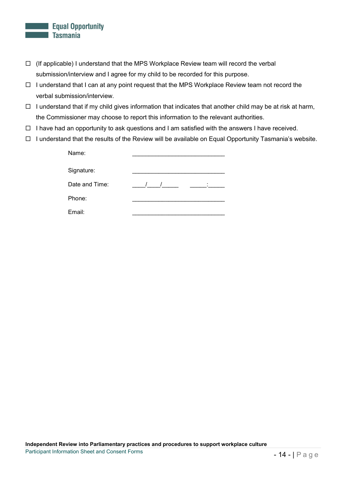#### **Equal Opportunity Tasmania**

- $\Box$  (If applicable) I understand that the MPS Workplace Review team will record the verbal submission/interview and I agree for my child to be recorded for this purpose.
- $\Box$  I understand that I can at any point request that the MPS Workplace Review team not record the verbal submission/interview.
- $\Box$  I understand that if my child gives information that indicates that another child may be at risk at harm, the Commissioner may choose to report this information to the relevant authorities.
- $\Box$  I have had an opportunity to ask questions and I am satisfied with the answers I have received.
- I understand that the results of the Review will be available on Equal Opportunity Tasmania's website.

| Name:          |   |
|----------------|---|
|                |   |
| Signature:     |   |
|                |   |
| Date and Time: | ٠ |
| Phone:         |   |
|                |   |
| Email:         |   |
|                |   |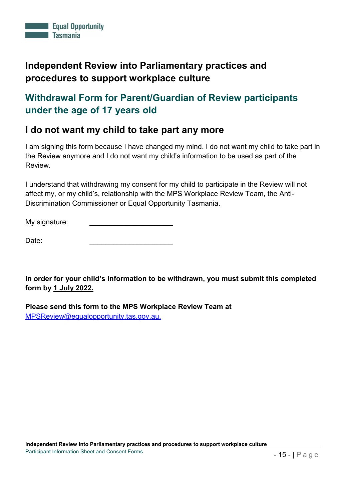

### <span id="page-14-0"></span>**Withdrawal Form for Parent/Guardian of Review participants under the age of 17 years old**

#### **I do not want my child to take part any more**

I am signing this form because I have changed my mind. I do not want my child to take part in the Review anymore and I do not want my child's information to be used as part of the Review.

I understand that withdrawing my consent for my child to participate in the Review will not affect my, or my child's, relationship with the MPS Workplace Review Team, the Anti-Discrimination Commissioner or Equal Opportunity Tasmania.

My signature:

| Date: |  |
|-------|--|
|       |  |

**In order for your child's information to be withdrawn, you must submit this completed form by 1 July 2022.**

**Please send this form to the MPS Workplace Review Team at**  [MPSReview@equalopportunity.tas.gov.au.](mailto:MPSReview@equalopportunity.tas.gov.au)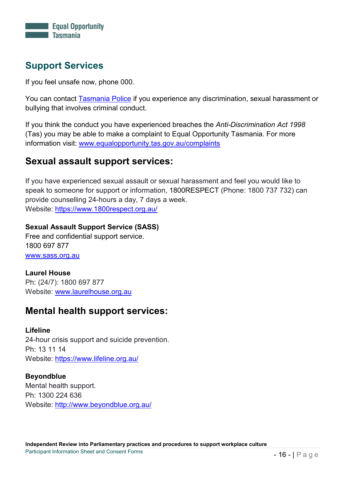

### <span id="page-15-0"></span>**Support Services**

If you feel unsafe now, phone 000.

You can contact [Tasmania Police](https://www.police.tas.gov.au/) if you experience any discrimination, sexual harassment or bullying that involves criminal conduct.

If you think the conduct you have experienced breaches the *Anti-Discrimination Act 1998* (Tas) you may be able to make a complaint to Equal Opportunity Tasmania. For more information visit: [www.equalopportunity.tas.gov.au/complaints](http://www.equalopportunity.tas.gov.au/complaints)

#### **Sexual assault support services:**

If you have experienced sexual assault or sexual harassment and feel you would like to speak to someone for support or information, 1800RESPECT (Phone: 1800 737 732) can provide counselling 24-hours a day, 7 days a week. Website:<https://www.1800respect.org.au/>

**Sexual Assault Support Service (SASS)**

Free and confidential support service. 1800 697 877 [www.sass.org.au](http://www.sass.org.au/)

#### **Laurel House** Ph: (24/7): 1800 697 877 Website: [www.laurelhouse.org.au](http://www.laurelhouse.org.au/)

#### **Mental health support services:**

#### **Lifeline**

24-hour crisis support and suicide prevention. Ph: 13 11 14 Website: <https://www.lifeline.org.au/>

**[Beyondblue](http://www.beyondblue.org.au/)** Mental health support. Ph: 1300 224 636 Website:<http://www.beyondblue.org.au/>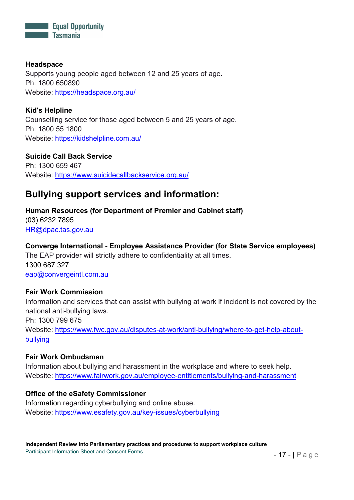

**[Headspace](https://headspace.org.au/)** Supports young people aged between 12 and 25 years of age. Ph: 1800 650890 Website:<https://headspace.org.au/>

**[Kid's Helpline](https://kidshelpline.com.au/)** Counselling service for those aged between 5 and 25 years of age. Ph: 1800 55 1800 Website:<https://kidshelpline.com.au/>

**[Suicide Call Back Service](https://www.suicidecallbackservice.org.au/)** Ph: 1300 659 467 Website:<https://www.suicidecallbackservice.org.au/>

### **Bullying support services and information:**

#### **Human Resources (for Department of Premier and Cabinet staff)**

(03) 6232 7895 [HR@dpac.tas.gov.au](mailto:HR@dpac.tas.gov.au)

#### **Converge International - Employee Assistance Provider (for State Service employees)**

The EAP provider will strictly adhere to confidentiality at all times. 1300 687 327 [eap@convergeintl.com.au](mailto:eap@convergeintl.com.au)

#### **[Fair Work Commission](https://www.fwc.gov.au/disputes-at-work/anti-bullying/where-to-get-help-about-bullying)**

Information and services that can assist with bullying at work if incident is not covered by the national anti-bullying laws. Ph: 1300 799 675 Website: [https://www.fwc.gov.au/disputes-at-work/anti-bullying/where-to-get-help-about](https://www.fwc.gov.au/disputes-at-work/anti-bullying/where-to-get-help-about-bullying)[bullying](https://www.fwc.gov.au/disputes-at-work/anti-bullying/where-to-get-help-about-bullying)

#### **[Fair Work Ombudsman](https://www.fairwork.gov.au/employee-entitlements/bullying-and-harassment)**

Information about bullying and harassment in the workplace and where to seek help. Website:<https://www.fairwork.gov.au/employee-entitlements/bullying-and-harassment>

#### **Office of the eSafety Commissioner**

Information regarding cyberbullying and online abuse. Website:<https://www.esafety.gov.au/key-issues/cyberbullying>